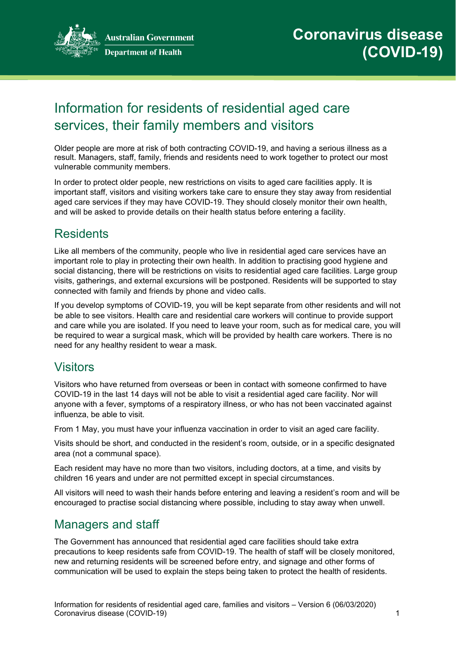

# Information for residents of residential aged care services, their family members and visitors

Older people are more at risk of both contracting COVID-19, and having a serious illness as a result. Managers, staff, family, friends and residents need to work together to protect our most vulnerable community members.

In order to protect older people, new restrictions on visits to aged care facilities apply. It is important staff, visitors and visiting workers take care to ensure they stay away from residential aged care services if they may have COVID-19. They should closely monitor their own health, and will be asked to provide details on their health status before entering a facility.

### **Residents**

Like all members of the community, people who live in residential aged care services have an important role to play in protecting their own health. In addition to practising good hygiene and social distancing, there will be restrictions on visits to residential aged care facilities. Large group visits, gatherings, and external excursions will be postponed. Residents will be supported to stay connected with family and friends by phone and video calls.

If you develop symptoms of COVID-19, you will be kept separate from other residents and will not be able to see visitors. Health care and residential care workers will continue to provide support and care while you are isolated. If you need to leave your room, such as for medical care, you will be required to wear a surgical mask, which will be provided by health care workers. There is no need for any healthy resident to wear a mask.

#### **Visitors**

Visitors who have returned from overseas or been in contact with someone confirmed to have COVID-19 in the last 14 days will not be able to visit a residential aged care facility. Nor will anyone with a fever, symptoms of a respiratory illness, or who has not been vaccinated against influenza, be able to visit.

From 1 May, you must have your influenza vaccination in order to visit an aged care facility.

Visits should be short, and conducted in the resident's room, outside, or in a specific designated area (not a communal space).

Each resident may have no more than two visitors, including doctors, at a time, and visits by children 16 years and under are not permitted except in special circumstances.

All visitors will need to wash their hands before entering and leaving a resident's room and will be encouraged to practise social distancing where possible, including to stay away when unwell.

## Managers and staff

The Government has announced that residential aged care facilities should take extra precautions to keep residents safe from COVID-19. The health of staff will be closely monitored, new and returning residents will be screened before entry, and signage and other forms of communication will be used to explain the steps being taken to protect the health of residents.